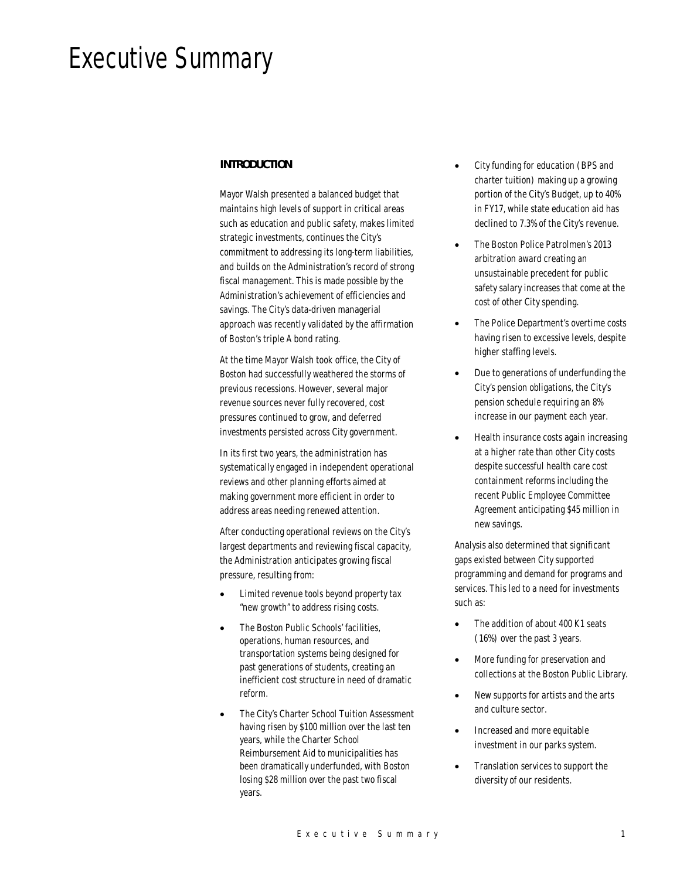# Executive Summary

# *INTRODUCTION*

Mayor Walsh presented a balanced budget that maintains high levels of support in critical areas such as education and public safety, makes limited strategic investments, continues the City's commitment to addressing its long-term liabilities, and builds on the Administration's record of strong fiscal management. This is made possible by the Administration's achievement of efficiencies and savings. The City's data-driven managerial approach was recently validated by the affirmation of Boston's triple A bond rating.

At the time Mayor Walsh took office, the City of Boston had successfully weathered the storms of previous recessions. However, several major revenue sources never fully recovered, cost pressures continued to grow, and deferred investments persisted across City government.

In its first two years, the administration has systematically engaged in independent operational reviews and other planning efforts aimed at making government more efficient in order to address areas needing renewed attention.

After conducting operational reviews on the City's largest departments and reviewing fiscal capacity, the Administration anticipates growing fiscal pressure, resulting from:

- Limited revenue tools beyond property tax "new growth" to address rising costs.
- The Boston Public Schools' facilities, operations, human resources, and transportation systems being designed for past generations of students, creating an inefficient cost structure in need of dramatic reform.
- The City's Charter School Tuition Assessment having risen by \$100 million over the last ten years, while the Charter School Reimbursement Aid to municipalities has been dramatically underfunded, with Boston losing \$28 million over the past two fiscal years.
- City funding for education (BPS and charter tuition) making up a growing portion of the City's Budget, up to 40% in FY17, while state education aid has declined to 7.3% of the City's revenue.
- The Boston Police Patrolmen's 2013 arbitration award creating an unsustainable precedent for public safety salary increases that come at the cost of other City spending.
- The Police Department's overtime costs having risen to excessive levels, despite higher staffing levels.
- Due to generations of underfunding the City's pension obligations, the City's pension schedule requiring an 8% increase in our payment each year.
- Health insurance costs again increasing at a higher rate than other City costs despite successful health care cost containment reforms including the recent Public Employee Committee Agreement anticipating \$45 million in new savings.

Analysis also determined that significant gaps existed between City supported programming and demand for programs and services. This led to a need for investments such as:

- The addition of about 400 K1 seats (16%) over the past 3 years.
- More funding for preservation and collections at the Boston Public Library.
- New supports for artists and the arts and culture sector.
- Increased and more equitable investment in our parks system.
- Translation services to support the diversity of our residents.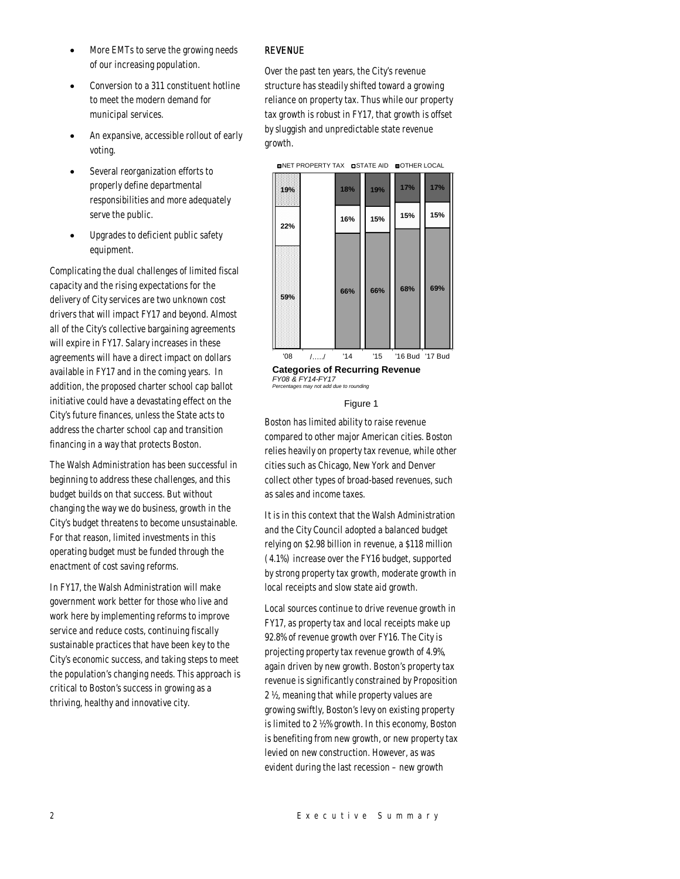- More EMTs to serve the growing needs of our increasing population.
- Conversion to a 311 constituent hotline to meet the modern demand for municipal services.
- An expansive, accessible rollout of early voting.
- Several reorganization efforts to properly define departmental responsibilities and more adequately serve the public.
- Upgrades to deficient public safety equipment.

Complicating the dual challenges of limited fiscal capacity and the rising expectations for the delivery of City services are two unknown cost drivers that will impact FY17 and beyond. Almost all of the City's collective bargaining agreements will expire in FY17. Salary increases in these agreements will have a direct impact on dollars available in FY17 and in the coming years. In addition, the proposed charter school cap ballot initiative could have a devastating effect on the City's future finances, unless the State acts to address the charter school cap and transition financing in a way that protects Boston.

The Walsh Administration has been successful in beginning to address these challenges, and this budget builds on that success. But without changing the way we do business, growth in the City's budget threatens to become unsustainable. For that reason, limited investments in this operating budget must be funded through the enactment of cost saving reforms.

In FY17, the Walsh Administration will make government work better for those who live and work here by implementing reforms to improve service and reduce costs, continuing fiscally sustainable practices that have been key to the City's economic success, and taking steps to meet the population's changing needs. This approach is critical to Boston's success in growing as a thriving, healthy and innovative city.

# REVENUE

Over the past ten years, the City's revenue structure has steadily shifted toward a growing reliance on property tax. Thus while our property tax growth is robust in FY17, that growth is offset by sluggish and unpredictable state revenue growth.



**Categories of Recurring Revenue** *FY08 & FY14-FY17 Percentages may not add due to rounding*

#### Figure 1

Boston has limited ability to raise revenue compared to other major American cities. Boston relies heavily on property tax revenue, while other cities such as Chicago, New York and Denver collect other types of broad-based revenues, such as sales and income taxes.

It is in this context that the Walsh Administration and the City Council adopted a balanced budget relying on \$2.98 billion in revenue, a \$118 million (4.1%) increase over the FY16 budget, supported by strong property tax growth, moderate growth in local receipts and slow state aid growth.

Local sources continue to drive revenue growth in FY17, as property tax and local receipts make up 92.8% of revenue growth over FY16. The City is projecting property tax revenue growth of 4.9%, again driven by new growth. Boston's property tax revenue is significantly constrained by Proposition 2 ½, meaning that while property values are growing swiftly, Boston's levy on existing property is limited to 2 ½% growth. In this economy, Boston is benefiting from new growth, or new property tax levied on new construction. However, as was evident during the last recession – new growth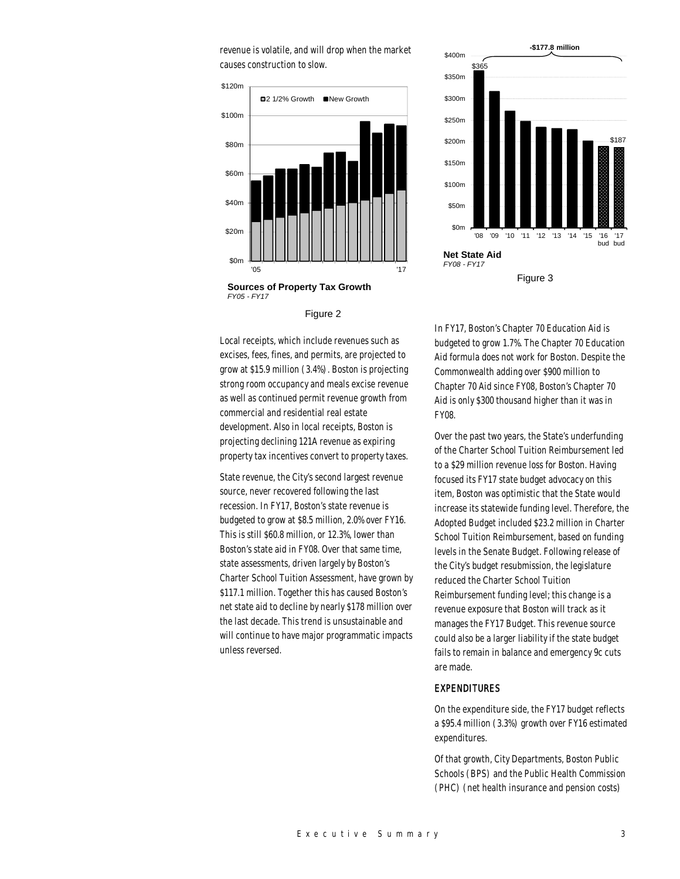revenue is volatile, and will drop when the market causes construction to slow.



**Sources of Property Tax Growth** *FY05 - FY17*

Figure 2

Local receipts, which include revenues such as excises, fees, fines, and permits, are projected to grow at \$15.9 million (3.4%). Boston is projecting strong room occupancy and meals excise revenue as well as continued permit revenue growth from commercial and residential real estate development. Also in local receipts, Boston is projecting declining 121A revenue as expiring property tax incentives convert to property taxes.

State revenue, the City's second largest revenue source, never recovered following the last recession. In FY17, Boston's state revenue is budgeted to grow at \$8.5 million, 2.0% over FY16. This is still \$60.8 million, or 12.3%, lower than Boston's state aid in FY08. Over that same time, state assessments, driven largely by Boston's Charter School Tuition Assessment, have grown by \$117.1 million. Together this has caused Boston's net state aid to decline by nearly \$178 million over the last decade. This trend is unsustainable and will continue to have major programmatic impacts unless reversed.



In FY17, Boston's Chapter 70 Education Aid is budgeted to grow 1.7%. The Chapter 70 Education Aid formula does not work for Boston. Despite the Commonwealth adding over \$900 million to Chapter 70 Aid since FY08, Boston's Chapter 70 Aid is only \$300 thousand higher than it was in FY08.

Over the past two years, the State's underfunding of the Charter School Tuition Reimbursement led to a \$29 million revenue loss for Boston. Having focused its FY17 state budget advocacy on this item, Boston was optimistic that the State would increase its statewide funding level. Therefore, the Adopted Budget included \$23.2 million in Charter School Tuition Reimbursement, based on funding levels in the Senate Budget. Following release of the City's budget resubmission, the legislature reduced the Charter School Tuition Reimbursement funding level; this change is a revenue exposure that Boston will track as it manages the FY17 Budget. This revenue source could also be a larger liability if the state budget fails to remain in balance and emergency 9c cuts are made.

#### EXPENDITURES

On the expenditure side, the FY17 budget reflects a \$95.4 million (3.3%) growth over FY16 estimated expenditures.

Of that growth, City Departments, Boston Public Schools (BPS) and the Public Health Commission (PHC) (net health insurance and pension costs)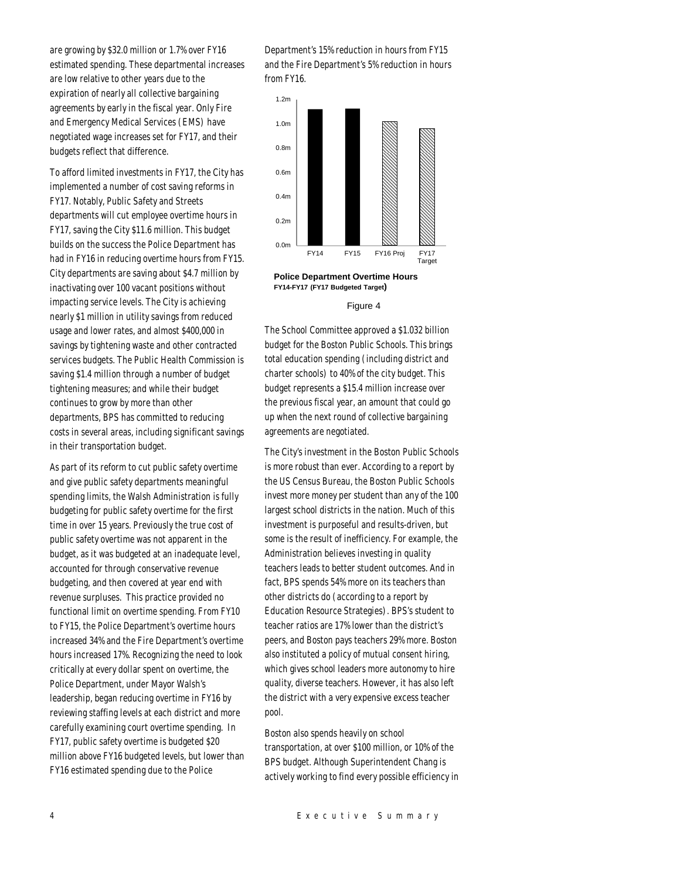are growing by \$32.0 million or 1.7% over FY16 estimated spending. These departmental increases are low relative to other years due to the expiration of nearly all collective bargaining agreements by early in the fiscal year. Only Fire and Emergency Medical Services (EMS) have negotiated wage increases set for FY17, and their budgets reflect that difference.

To afford limited investments in FY17, the City has implemented a number of cost saving reforms in FY17. Notably, Public Safety and Streets departments will cut employee overtime hours in FY17, saving the City \$11.6 million. This budget builds on the success the Police Department has had in FY16 in reducing overtime hours from FY15. City departments are saving about \$4.7 million by inactivating over 100 vacant positions without impacting service levels. The City is achieving nearly \$1 million in utility savings from reduced usage and lower rates, and almost \$400,000 in savings by tightening waste and other contracted services budgets. The Public Health Commission is saving \$1.4 million through a number of budget tightening measures; and while their budget continues to grow by more than other departments, BPS has committed to reducing costs in several areas, including significant savings in their transportation budget.

As part of its reform to cut public safety overtime and give public safety departments meaningful spending limits, the Walsh Administration is fully budgeting for public safety overtime for the first time in over 15 years. Previously the true cost of public safety overtime was not apparent in the budget, as it was budgeted at an inadequate level, accounted for through conservative revenue budgeting, and then covered at year end with revenue surpluses. This practice provided no functional limit on overtime spending. From FY10 to FY15, the Police Department's overtime hours increased 34% and the Fire Department's overtime hours increased 17%. Recognizing the need to look critically at every dollar spent on overtime, the Police Department, under Mayor Walsh's leadership, began reducing overtime in FY16 by reviewing staffing levels at each district and more carefully examining court overtime spending. In FY17, public safety overtime is budgeted \$20 million above FY16 budgeted levels, but lower than FY16 estimated spending due to the Police

Department's 15% reduction in hours from FY15 and the Fire Department's 5% reduction in hours from FY16.



**Police Department Overtime Hours FY14-FY17 (FY17 Budgeted Target)**

#### Figure 4

The School Committee approved a \$1.032 billion budget for the Boston Public Schools. This brings total education spending (including district and charter schools) to 40% of the city budget. This budget represents a \$15.4 million increase over the previous fiscal year, an amount that could go up when the next round of collective bargaining agreements are negotiated.

The City's investment in the Boston Public Schools is more robust than ever. According to a report by the US Census Bureau, the Boston Public Schools invest more money per student than any of the 100 largest school districts in the nation. Much of this investment is purposeful and results-driven, but some is the result of inefficiency. For example, the Administration believes investing in quality teachers leads to better student outcomes. And in fact, BPS spends 54% more on its teachers than other districts do (according to a report by Education Resource Strategies). BPS's student to teacher ratios are 17% lower than the district's peers, and Boston pays teachers 29% more. Boston also instituted a policy of mutual consent hiring, which gives school leaders more autonomy to hire quality, diverse teachers. However, it has also left the district with a very expensive excess teacher pool.

Boston also spends heavily on school transportation, at over \$100 million, or 10% of the BPS budget. Although Superintendent Chang is actively working to find every possible efficiency in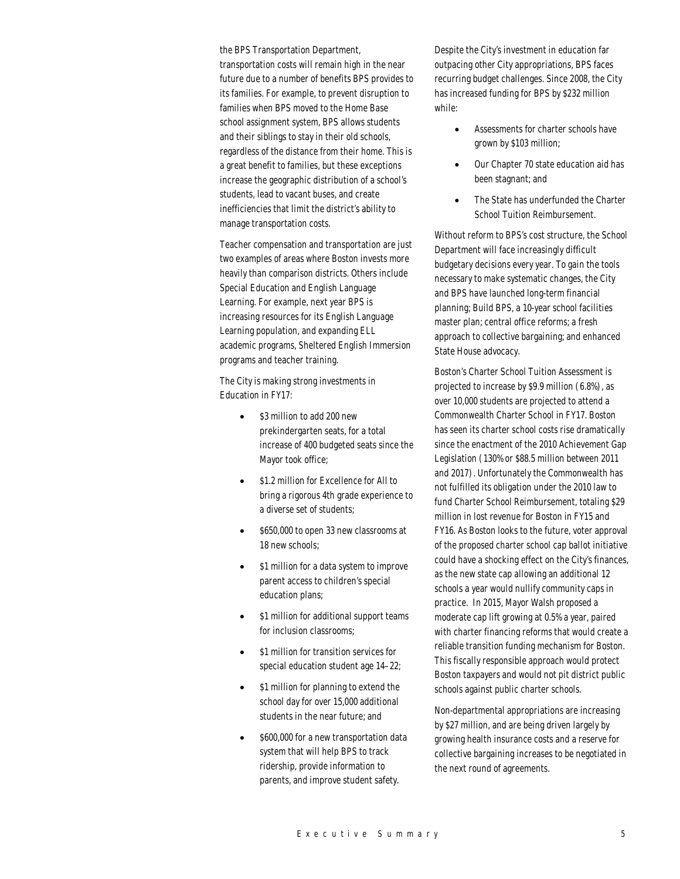the BPS Transportation Department, transportation costs will remain high in the near future due to a number of benefits BPS provides to its families. For example, to prevent disruption to families when BPS moved to the Home Base school assignment system, BPS allows students and their siblings to stay in their old schools, regardless of the distance from their home. This is a great benefit to families, but these exceptions increase the geographic distribution of a school's students, lead to vacant buses, and create inefficiencies that limit the district's ability to manage transportation costs.

Teacher compensation and transportation are just two examples of areas where Boston invests more heavily than comparison districts. Others include Special Education and English Language Learning. For example, next year BPS is increasing resources for its English Language Learning population, and expanding ELL academic programs, Sheltered English Immersion programs and teacher training.

The City is making strong investments in Education in FY17:

- \$3 million to add 200 new prekindergarten seats, for a total increase of 400 budgeted seats since the Mayor took office;
- \$1.2 million for Excellence for All to bring a rigorous 4th grade experience to a diverse set of students;
- \$650,000 to open 33 new classrooms at 18 new schools;
- \$1 million for a data system to improve parent access to children's special education plans;
- \$1 million for additional support teams for inclusion classrooms;
- \$1 million for transition services for special education student age 14–22;
- \$1 million for planning to extend the school day for over 15,000 additional students in the near future; and
- \$600,000 for a new transportation data system that will help BPS to track ridership, provide information to parents, and improve student safety.

Despite the City's investment in education far outpacing other City appropriations, BPS faces recurring budget challenges. Since 2008, the City has increased funding for BPS by \$232 million while:

- Assessments for charter schools have grown by \$103 million;
- Our Chapter 70 state education aid has been stagnant; and
- The State has underfunded the Charter School Tuition Reimbursement.

Without reform to BPS's cost structure, the School Department will face increasingly difficult budgetary decisions every year. To gain the tools necessary to make systematic changes, the City and BPS have launched long-term financial planning; Build BPS, a 10-year school facilities master plan; central office reforms; a fresh approach to collective bargaining; and enhanced State House advocacy.

Boston's Charter School Tuition Assessment is projected to increase by \$9.9 million (6.8%), as over 10,000 students are projected to attend a Commonwealth Charter School in FY17. Boston has seen its charter school costs rise dramatically since the enactment of the 2010 Achievement Gap Legislation (130% or \$88.5 million between 2011 and 2017). Unfortunately the Commonwealth has not fulfilled its obligation under the 2010 law to fund Charter School Reimbursement, totaling \$29 million in lost revenue for Boston in FY15 and FY16. As Boston looks to the future, voter approval of the proposed charter school cap ballot initiative could have a shocking effect on the City's finances, as the new state cap allowing an additional 12 schools a year would nullify community caps in practice. In 2015, Mayor Walsh proposed a moderate cap lift growing at 0.5% a year, paired with charter financing reforms that would create a reliable transition funding mechanism for Boston. This fiscally responsible approach would protect Boston taxpayers and would not pit district public schools against public charter schools.

Non-departmental appropriations are increasing by \$27 million, and are being driven largely by growing health insurance costs and a reserve for collective bargaining increases to be negotiated in the next round of agreements.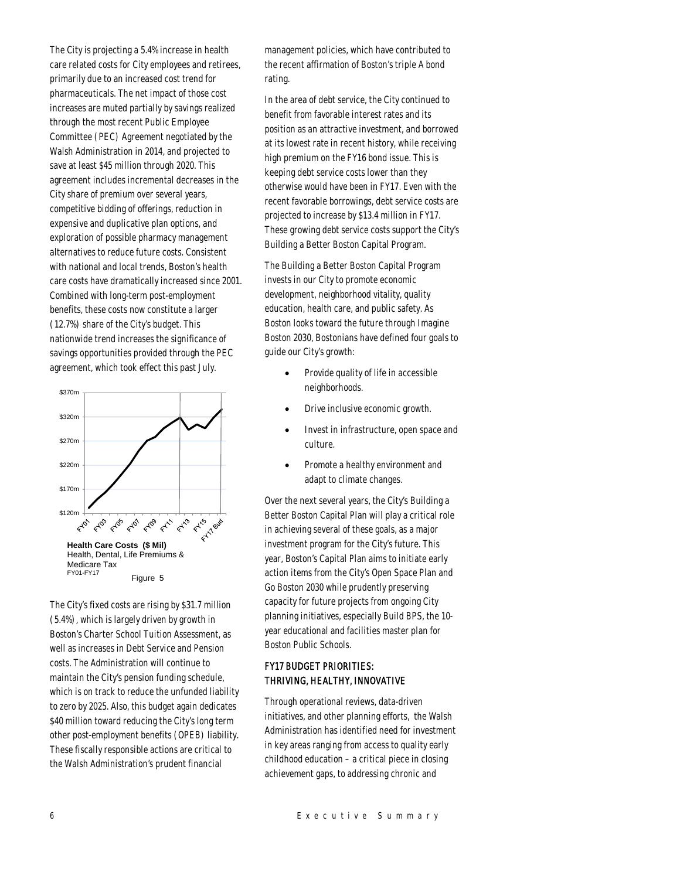The City is projecting a 5.4% increase in health care related costs for City employees and retirees, primarily due to an increased cost trend for pharmaceuticals. The net impact of those cost increases are muted partially by savings realized through the most recent Public Employee Committee (PEC) Agreement negotiated by the Walsh Administration in 2014, and projected to save at least \$45 million through 2020. This agreement includes incremental decreases in the City share of premium over several years, competitive bidding of offerings, reduction in expensive and duplicative plan options, and exploration of possible pharmacy management alternatives to reduce future costs. Consistent with national and local trends, Boston's health care costs have dramatically increased since 2001. Combined with long-term post-employment benefits, these costs now constitute a larger (12.7%) share of the City's budget. This nationwide trend increases the significance of savings opportunities provided through the PEC agreement, which took effect this past July.



The City's fixed costs are rising by \$31.7 million (5.4%), which is largely driven by growth in Boston's Charter School Tuition Assessment, as well as increases in Debt Service and Pension costs. The Administration will continue to maintain the City's pension funding schedule, which is on track to reduce the unfunded liability to zero by 2025. Also, this budget again dedicates \$40 million toward reducing the City's long term other post-employment benefits (OPEB) liability. These fiscally responsible actions are critical to the Walsh Administration's prudent financial

management policies, which have contributed to the recent affirmation of Boston's triple A bond rating.

In the area of debt service, the City continued to benefit from favorable interest rates and its position as an attractive investment, and borrowed at its lowest rate in recent history, while receiving high premium on the FY16 bond issue. This is keeping debt service costs lower than they otherwise would have been in FY17. Even with the recent favorable borrowings, debt service costs are projected to increase by \$13.4 million in FY17. These growing debt service costs support the City's Building a Better Boston Capital Program.

The Building a Better Boston Capital Program invests in our City to promote economic development, neighborhood vitality, quality education, health care, and public safety. As Boston looks toward the future through Imagine Boston 2030, Bostonians have defined four goals to guide our City's growth:

- Provide quality of life in accessible neighborhoods.
- Drive inclusive economic growth.
- Invest in infrastructure, open space and culture.
- Promote a healthy environment and adapt to climate changes.

Over the next several years, the City's Building a Better Boston Capital Plan will play a critical role in achieving several of these goals, as a major investment program for the City's future. This year, Boston's Capital Plan aims to initiate early action items from the City's Open Space Plan and Go Boston 2030 while prudently preserving capacity for future projects from ongoing City planning initiatives, especially Build BPS, the 10 year educational and facilities master plan for Boston Public Schools.

# FY17 BUDGET PRIORITIES: THRIVING, HEALTHY, INNOVATIVE

Through operational reviews, data-driven initiatives, and other planning efforts, the Walsh Administration has identified need for investment in key areas ranging from access to quality early childhood education – a critical piece in closing achievement gaps, to addressing chronic and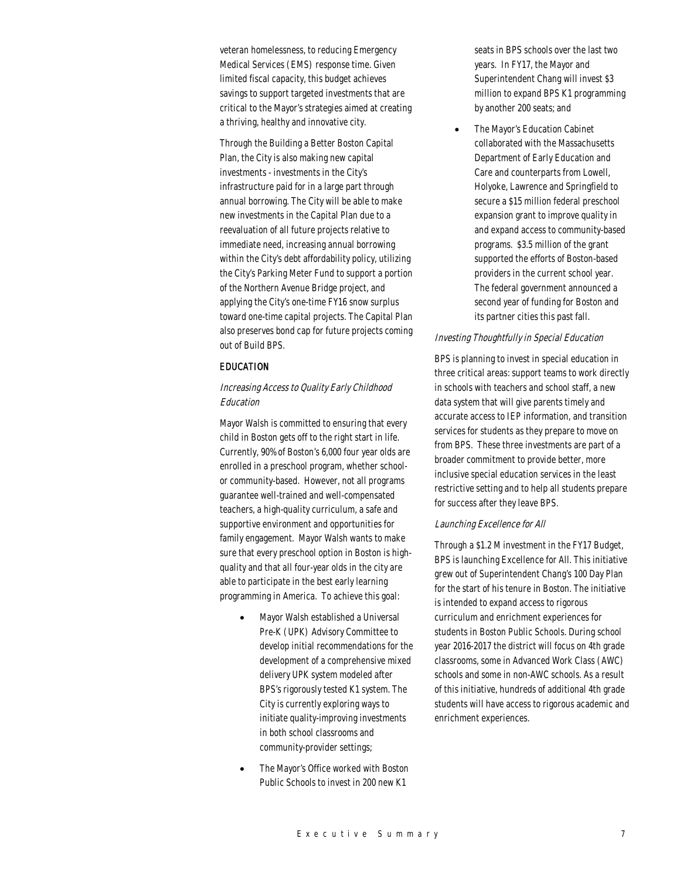veteran homelessness, to reducing Emergency Medical Services (EMS) response time. Given limited fiscal capacity, this budget achieves savings to support targeted investments that are critical to the Mayor's strategies aimed at creating a thriving, healthy and innovative city.

Through the Building a Better Boston Capital Plan, the City is also making new capital investments - investments in the City's infrastructure paid for in a large part through annual borrowing. The City will be able to make new investments in the Capital Plan due to a reevaluation of all future projects relative to immediate need, increasing annual borrowing within the City's debt affordability policy, utilizing the City's Parking Meter Fund to support a portion of the Northern Avenue Bridge project, and applying the City's one-time FY16 snow surplus toward one-time capital projects. The Capital Plan also preserves bond cap for future projects coming out of Build BPS.

# EDUCATION

# Increasing Access to Quality Early Childhood Education

Mayor Walsh is committed to ensuring that every child in Boston gets off to the right start in life. Currently, 90% of Boston's 6,000 four year olds are enrolled in a preschool program, whether schoolor community-based. However, not all programs guarantee well-trained and well-compensated teachers, a high-quality curriculum, a safe and supportive environment and opportunities for family engagement. Mayor Walsh wants to make sure that every preschool option in Boston is highquality and that all four-year olds in the city are able to participate in the best early learning programming in America. To achieve this goal:

- Mayor Walsh established a Universal Pre-K (UPK) Advisory Committee to develop initial recommendations for the development of a comprehensive mixed delivery UPK system modeled after BPS's rigorously tested K1 system. The City is currently exploring ways to initiate quality-improving investments in both school classrooms and community-provider settings;
- The Mayor's Office worked with Boston Public Schools to invest in 200 new K1

seats in BPS schools over the last two years. In FY17, the Mayor and Superintendent Chang will invest \$3 million to expand BPS K1 programming by another 200 seats; and

The Mayor's Education Cabinet collaborated with the Massachusetts Department of Early Education and Care and counterparts from Lowell, Holyoke, Lawrence and Springfield to secure a \$15 million federal preschool expansion grant to improve quality in and expand access to community-based programs. \$3.5 million of the grant supported the efforts of Boston-based providers in the current school year. The federal government announced a second year of funding for Boston and its partner cities this past fall.

## Investing Thoughtfully in Special Education

BPS is planning to invest in special education in three critical areas: support teams to work directly in schools with teachers and school staff, a new data system that will give parents timely and accurate access to IEP information, and transition services for students as they prepare to move on from BPS. These three investments are part of a broader commitment to provide better, more inclusive special education services in the least restrictive setting and to help all students prepare for success after they leave BPS.

#### Launching Excellence for All

Through a \$1.2 M investment in the FY17 Budget, BPS is launching Excellence for All. This initiative grew out of Superintendent Chang's 100 Day Plan for the start of his tenure in Boston. The initiative is intended to expand access to rigorous curriculum and enrichment experiences for students in Boston Public Schools. During school year 2016-2017 the district will focus on 4th grade classrooms, some in Advanced Work Class (AWC) schools and some in non-AWC schools. As a result of this initiative, hundreds of additional 4th grade students will have access to rigorous academic and enrichment experiences.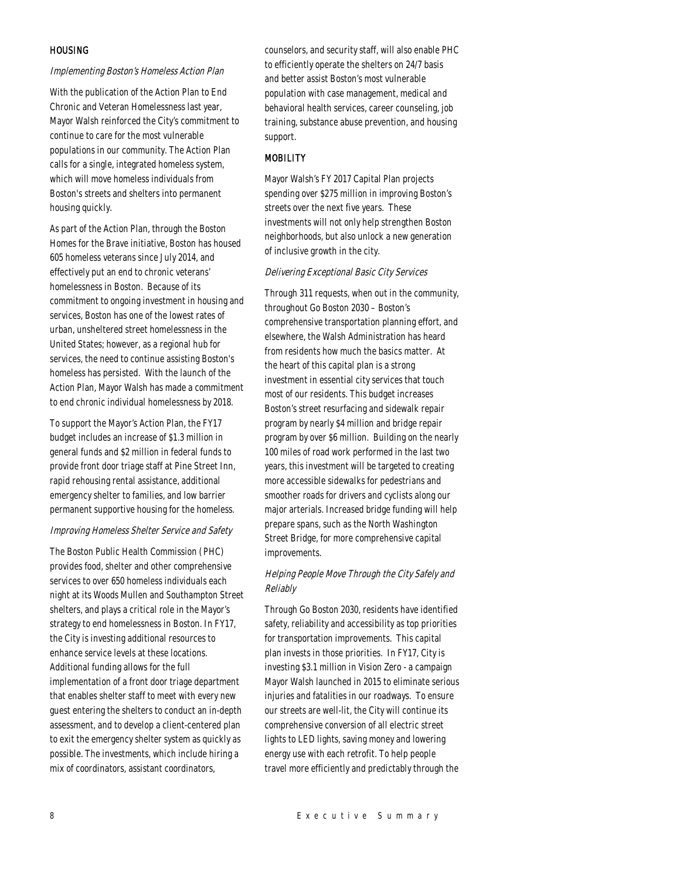## **HOUSING**

## Implementing Boston's Homeless Action Plan

With the publication of the Action Plan to End Chronic and Veteran Homelessness last year, Mayor Walsh reinforced the City's commitment to continue to care for the most vulnerable populations in our community. The Action Plan calls for a single, integrated homeless system, which will move homeless individuals from Boston's streets and shelters into permanent housing quickly.

As part of the Action Plan, through the Boston Homes for the Brave initiative, Boston has housed 605 homeless veterans since July 2014, and effectively put an end to chronic veterans' homelessness in Boston. Because of its commitment to ongoing investment in housing and services, Boston has one of the lowest rates of urban, unsheltered street homelessness in the United States; however, as a regional hub for services, the need to continue assisting Boston's homeless has persisted. With the launch of the Action Plan, Mayor Walsh has made a commitment to end chronic individual homelessness by 2018.

To support the Mayor's Action Plan, the FY17 budget includes an increase of \$1.3 million in general funds and \$2 million in federal funds to provide front door triage staff at Pine Street Inn, rapid rehousing rental assistance, additional emergency shelter to families, and low barrier permanent supportive housing for the homeless.

# Improving Homeless Shelter Service and Safety

The Boston Public Health Commission (PHC) provides food, shelter and other comprehensive services to over 650 homeless individuals each night at its Woods Mullen and Southampton Street shelters, and plays a critical role in the Mayor's strategy to end homelessness in Boston. In FY17, the City is investing additional resources to enhance service levels at these locations. Additional funding allows for the full implementation of a front door triage department that enables shelter staff to meet with every new guest entering the shelters to conduct an in-depth assessment, and to develop a client-centered plan to exit the emergency shelter system as quickly as possible. The investments, which include hiring a mix of coordinators, assistant coordinators,

counselors, and security staff, will also enable PHC to efficiently operate the shelters on 24/7 basis and better assist Boston's most vulnerable population with case management, medical and behavioral health services, career counseling, job training, substance abuse prevention, and housing support.

# **MOBILITY**

Mayor Walsh's FY 2017 Capital Plan projects spending over \$275 million in improving Boston's streets over the next five years. These investments will not only help strengthen Boston neighborhoods, but also unlock a new generation of inclusive growth in the city.

#### Delivering Exceptional Basic City Services

Through 311 requests, when out in the community, throughout Go Boston 2030 – Boston's comprehensive transportation planning effort, and elsewhere, the Walsh Administration has heard from residents how much the basics matter. At the heart of this capital plan is a strong investment in essential city services that touch most of our residents. This budget increases Boston's street resurfacing and sidewalk repair program by nearly \$4 million and bridge repair program by over \$6 million. Building on the nearly 100 miles of road work performed in the last two years, this investment will be targeted to creating more accessible sidewalks for pedestrians and smoother roads for drivers and cyclists along our major arterials. Increased bridge funding will help prepare spans, such as the North Washington Street Bridge, for more comprehensive capital improvements.

# Helping People Move Through the City Safely and Reliably

Through Go Boston 2030, residents have identified safety, reliability and accessibility as top priorities for transportation improvements. This capital plan invests in those priorities. In FY17, City is investing \$3.1 million in Vision Zero - a campaign Mayor Walsh launched in 2015 to eliminate serious injuries and fatalities in our roadways. To ensure our streets are well-lit, the City will continue its comprehensive conversion of all electric street lights to LED lights, saving money and lowering energy use with each retrofit. To help people travel more efficiently and predictably through the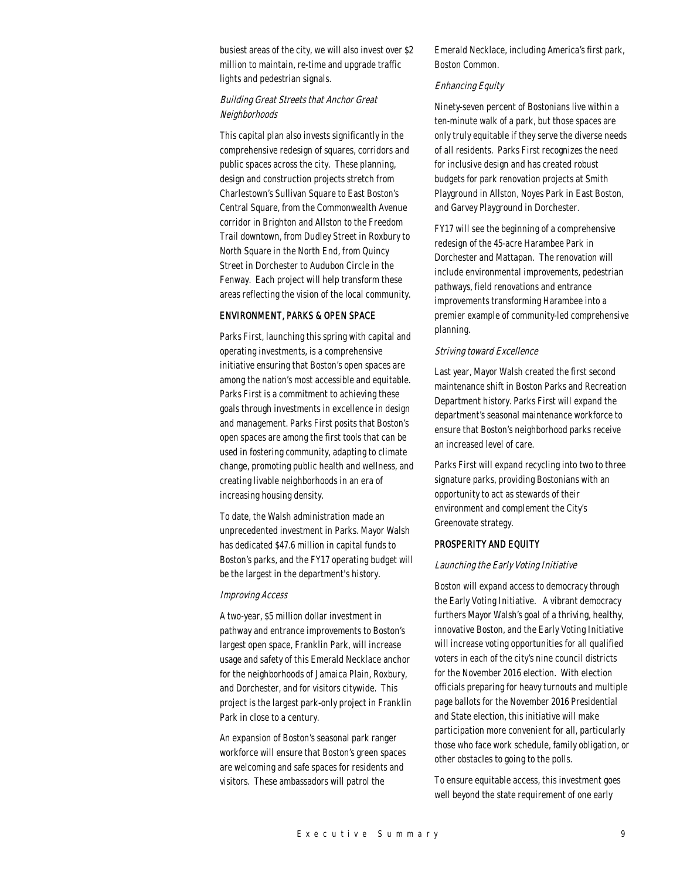busiest areas of the city, we will also invest over \$2 million to maintain, re-time and upgrade traffic lights and pedestrian signals.

# Building Great Streets that Anchor Great Neighborhoods

This capital plan also invests significantly in the comprehensive redesign of squares, corridors and public spaces across the city. These planning, design and construction projects stretch from Charlestown's Sullivan Square to East Boston's Central Square, from the Commonwealth Avenue corridor in Brighton and Allston to the Freedom Trail downtown, from Dudley Street in Roxbury to North Square in the North End, from Quincy Street in Dorchester to Audubon Circle in the Fenway. Each project will help transform these areas reflecting the vision of the local community.

# ENVIRONMENT, PARKS & OPEN SPACE

Parks First, launching this spring with capital and operating investments, is a comprehensive initiative ensuring that Boston's open spaces are among the nation's most accessible and equitable. Parks First is a commitment to achieving these goals through investments in excellence in design and management. Parks First posits that Boston's open spaces are among the first tools that can be used in fostering community, adapting to climate change, promoting public health and wellness, and creating livable neighborhoods in an era of increasing housing density.

To date, the Walsh administration made an unprecedented investment in Parks. Mayor Walsh has dedicated \$47.6 million in capital funds to Boston's parks, and the FY17 operating budget will be the largest in the department's history.

### Improving Access

A two-year, \$5 million dollar investment in pathway and entrance improvements to Boston's largest open space, Franklin Park, will increase usage and safety of this Emerald Necklace anchor for the neighborhoods of Jamaica Plain, Roxbury, and Dorchester, and for visitors citywide. This project is the largest park-only project in Franklin Park in close to a century.

An expansion of Boston's seasonal park ranger workforce will ensure that Boston's green spaces are welcoming and safe spaces for residents and visitors. These ambassadors will patrol the

Emerald Necklace, including America's first park, Boston Common.

# Enhancing Equity

Ninety-seven percent of Bostonians live within a ten-minute walk of a park, but those spaces are only truly equitable if they serve the diverse needs of all residents. Parks First recognizes the need for inclusive design and has created robust budgets for park renovation projects at Smith Playground in Allston, Noyes Park in East Boston, and Garvey Playground in Dorchester.

FY17 will see the beginning of a comprehensive redesign of the 45-acre Harambee Park in Dorchester and Mattapan. The renovation will include environmental improvements, pedestrian pathways, field renovations and entrance improvements transforming Harambee into a premier example of community-led comprehensive planning.

#### Striving toward Excellence

Last year, Mayor Walsh created the first second maintenance shift in Boston Parks and Recreation Department history. Parks First will expand the department's seasonal maintenance workforce to ensure that Boston's neighborhood parks receive an increased level of care.

Parks First will expand recycling into two to three signature parks, providing Bostonians with an opportunity to act as stewards of their environment and complement the City's Greenovate strategy.

#### PROSPERITY AND EQUITY

#### Launching the Early Voting Initiative

Boston will expand access to democracy through the Early Voting Initiative. A vibrant democracy furthers Mayor Walsh's goal of a thriving, healthy, innovative Boston, and the Early Voting Initiative will increase voting opportunities for all qualified voters in each of the city's nine council districts for the November 2016 election. With election officials preparing for heavy turnouts and multiple page ballots for the November 2016 Presidential and State election, this initiative will make participation more convenient for all, particularly those who face work schedule, family obligation, or other obstacles to going to the polls.

To ensure equitable access, this investment goes well beyond the state requirement of one early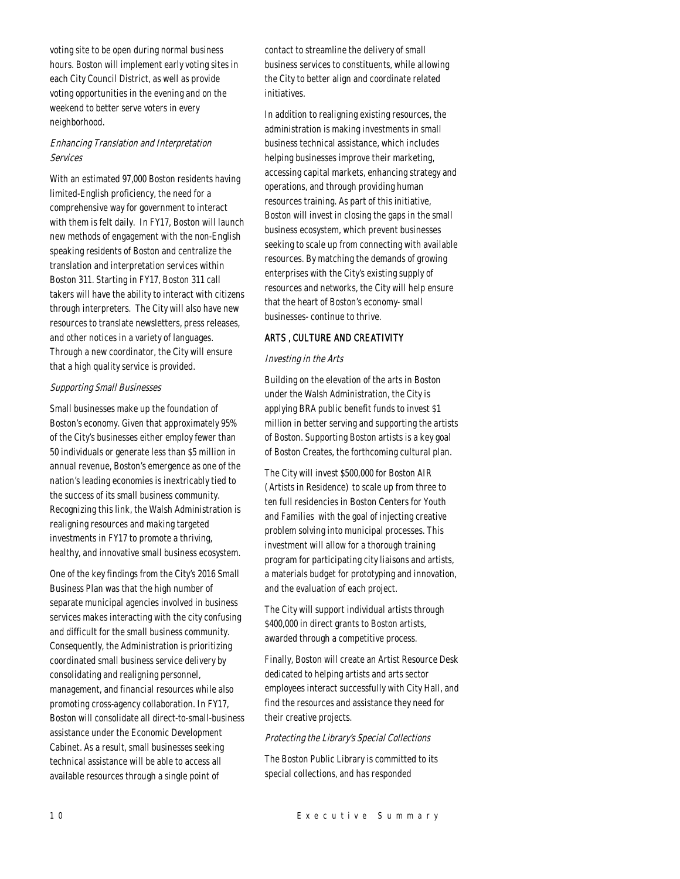voting site to be open during normal business hours. Boston will implement early voting sites in each City Council District, as well as provide voting opportunities in the evening and on the weekend to better serve voters in every neighborhood.

# Enhancing Translation and Interpretation Services

With an estimated 97,000 Boston residents having limited-English proficiency, the need for a comprehensive way for government to interact with them is felt daily. In FY17, Boston will launch new methods of engagement with the non-English speaking residents of Boston and centralize the translation and interpretation services within Boston 311. Starting in FY17, Boston 311 call takers will have the ability to interact with citizens through interpreters. The City will also have new resources to translate newsletters, press releases, and other notices in a variety of languages. Through a new coordinator, the City will ensure that a high quality service is provided.

# Supporting Small Businesses

Small businesses make up the foundation of Boston's economy. Given that approximately 95% of the City's businesses either employ fewer than 50 individuals or generate less than \$5 million in annual revenue, Boston's emergence as one of the nation's leading economies is inextricably tied to the success of its small business community. Recognizing this link, the Walsh Administration is realigning resources and making targeted investments in FY17 to promote a thriving, healthy, and innovative small business ecosystem.

One of the key findings from the City's 2016 Small Business Plan was that the high number of separate municipal agencies involved in business services makes interacting with the city confusing and difficult for the small business community. Consequently, the Administration is prioritizing coordinated small business service delivery by consolidating and realigning personnel, management, and financial resources while also promoting cross-agency collaboration. In FY17, Boston will consolidate all direct-to-small-business assistance under the Economic Development Cabinet. As a result, small businesses seeking technical assistance will be able to access all available resources through a single point of

contact to streamline the delivery of small business services to constituents, while allowing the City to better align and coordinate related initiatives.

In addition to realigning existing resources, the administration is making investments in small business technical assistance, which includes helping businesses improve their marketing, accessing capital markets, enhancing strategy and operations, and through providing human resources training. As part of this initiative, Boston will invest in closing the gaps in the small business ecosystem, which prevent businesses seeking to scale up from connecting with available resources. By matching the demands of growing enterprises with the City's existing supply of resources and networks, the City will help ensure that the heart of Boston's economy- small businesses- continue to thrive.

# ARTS , CULTURE AND CREATIVITY

# Investing in the Arts

Building on the elevation of the arts in Boston under the Walsh Administration, the City is applying BRA public benefit funds to invest \$1 million in better serving and supporting the artists of Boston. Supporting Boston artists is a key goal of Boston Creates, the forthcoming cultural plan.

The City will invest \$500,000 for Boston AIR (Artists in Residence) to scale up from three to ten full residencies in Boston Centers for Youth and Families with the goal of injecting creative problem solving into municipal processes. This investment will allow for a thorough training program for participating city liaisons and artists, a materials budget for prototyping and innovation, and the evaluation of each project.

The City will support individual artists through \$400,000 in direct grants to Boston artists, awarded through a competitive process.

Finally, Boston will create an Artist Resource Desk dedicated to helping artists and arts sector employees interact successfully with City Hall, and find the resources and assistance they need for their creative projects.

# Protecting the Library's Special Collections

The Boston Public Library is committed to its special collections, and has responded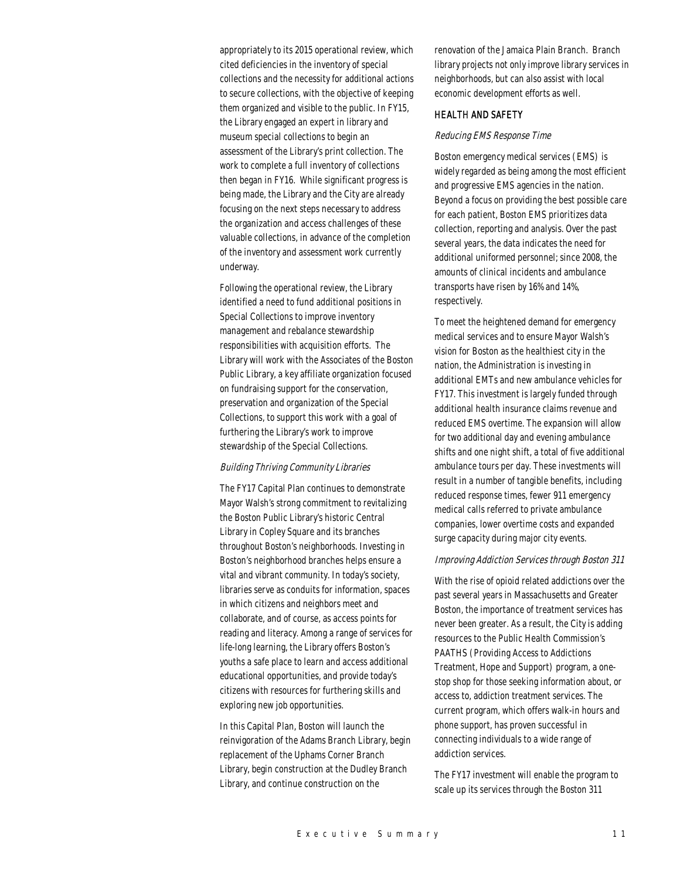appropriately to its 2015 operational review, which cited deficiencies in the inventory of special collections and the necessity for additional actions to secure collections, with the objective of keeping them organized and visible to the public. In FY15, the Library engaged an expert in library and museum special collections to begin an assessment of the Library's print collection. The work to complete a full inventory of collections then began in FY16. While significant progress is being made, the Library and the City are already focusing on the next steps necessary to address the organization and access challenges of these valuable collections, in advance of the completion of the inventory and assessment work currently underway.

Following the operational review, the Library identified a need to fund additional positions in Special Collections to improve inventory management and rebalance stewardship responsibilities with acquisition efforts. The Library will work with the Associates of the Boston Public Library, a key affiliate organization focused on fundraising support for the conservation, preservation and organization of the Special Collections, to support this work with a goal of furthering the Library's work to improve stewardship of the Special Collections.

#### Building Thriving Community Libraries

The FY17 Capital Plan continues to demonstrate Mayor Walsh's strong commitment to revitalizing the Boston Public Library's historic Central Library in Copley Square and its branches throughout Boston's neighborhoods. Investing in Boston's neighborhood branches helps ensure a vital and vibrant community. In today's society, libraries serve as conduits for information, spaces in which citizens and neighbors meet and collaborate, and of course, as access points for reading and literacy. Among a range of services for life-long learning, the Library offers Boston's youths a safe place to learn and access additional educational opportunities, and provide today's citizens with resources for furthering skills and exploring new job opportunities.

In this Capital Plan, Boston will launch the reinvigoration of the Adams Branch Library, begin replacement of the Uphams Corner Branch Library, begin construction at the Dudley Branch Library, and continue construction on the

renovation of the Jamaica Plain Branch. Branch library projects not only improve library services in neighborhoods, but can also assist with local economic development efforts as well.

#### HEALTH AND SAFETY

## Reducing EMS Response Time

Boston emergency medical services (EMS) is widely regarded as being among the most efficient and progressive EMS agencies in the nation. Beyond a focus on providing the best possible care for each patient, Boston EMS prioritizes data collection, reporting and analysis. Over the past several years, the data indicates the need for additional uniformed personnel; since 2008, the amounts of clinical incidents and ambulance transports have risen by 16% and 14%, respectively.

To meet the heightened demand for emergency medical services and to ensure Mayor Walsh's vision for Boston as the healthiest city in the nation, the Administration is investing in additional EMTs and new ambulance vehicles for FY17. This investment is largely funded through additional health insurance claims revenue and reduced EMS overtime. The expansion will allow for two additional day and evening ambulance shifts and one night shift, a total of five additional ambulance tours per day. These investments will result in a number of tangible benefits, including reduced response times, fewer 911 emergency medical calls referred to private ambulance companies, lower overtime costs and expanded surge capacity during major city events.

## Improving Addiction Services through Boston 311

With the rise of opioid related addictions over the past several years in Massachusetts and Greater Boston, the importance of treatment services has never been greater. As a result, the City is adding resources to the Public Health Commission's PAATHS (Providing Access to Addictions Treatment, Hope and Support) program, a onestop shop for those seeking information about, or access to, addiction treatment services. The current program, which offers walk-in hours and phone support, has proven successful in connecting individuals to a wide range of addiction services.

The FY17 investment will enable the program to scale up its services through the Boston 311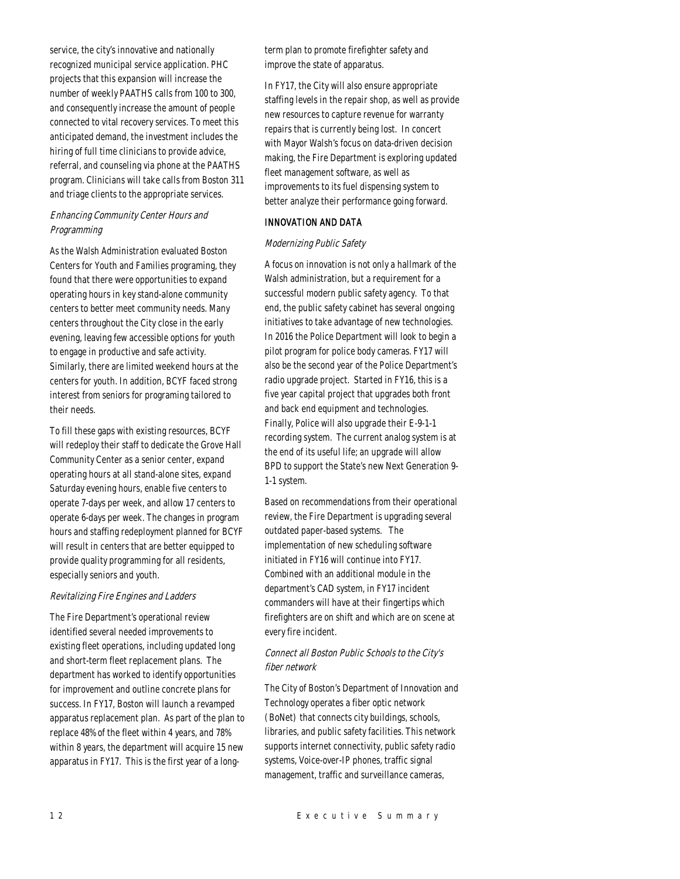service, the city's innovative and nationally recognized municipal service application. PHC projects that this expansion will increase the number of weekly PAATHS calls from 100 to 300, and consequently increase the amount of people connected to vital recovery services. To meet this anticipated demand, the investment includes the hiring of full time clinicians to provide advice, referral, and counseling via phone at the PAATHS program. Clinicians will take calls from Boston 311 and triage clients to the appropriate services.

# Enhancing Community Center Hours and Programming

As the Walsh Administration evaluated Boston Centers for Youth and Families programing, they found that there were opportunities to expand operating hours in key stand-alone community centers to better meet community needs. Many centers throughout the City close in the early evening, leaving few accessible options for youth to engage in productive and safe activity. Similarly, there are limited weekend hours at the centers for youth. In addition, BCYF faced strong interest from seniors for programing tailored to their needs.

To fill these gaps with existing resources, BCYF will redeploy their staff to dedicate the Grove Hall Community Center as a senior center, expand operating hours at all stand-alone sites, expand Saturday evening hours, enable five centers to operate 7-days per week, and allow 17 centers to operate 6-days per week. The changes in program hours and staffing redeployment planned for BCYF will result in centers that are better equipped to provide quality programming for all residents, especially seniors and youth.

# Revitalizing Fire Engines and Ladders

The Fire Department's operational review identified several needed improvements to existing fleet operations, including updated long and short-term fleet replacement plans. The department has worked to identify opportunities for improvement and outline concrete plans for success. In FY17, Boston will launch a revamped apparatus replacement plan. As part of the plan to replace 48% of the fleet within 4 years, and 78% within 8 years, the department will acquire 15 new apparatus in FY17. This is the first year of a longterm plan to promote firefighter safety and improve the state of apparatus.

In FY17, the City will also ensure appropriate staffing levels in the repair shop, as well as provide new resources to capture revenue for warranty repairs that is currently being lost. In concert with Mayor Walsh's focus on data-driven decision making, the Fire Department is exploring updated fleet management software, as well as improvements to its fuel dispensing system to better analyze their performance going forward.

# INNOVATION AND DATA

## Modernizing Public Safety

A focus on innovation is not only a hallmark of the Walsh administration, but a requirement for a successful modern public safety agency. To that end, the public safety cabinet has several ongoing initiatives to take advantage of new technologies. In 2016 the Police Department will look to begin a pilot program for police body cameras. FY17 will also be the second year of the Police Department's radio upgrade project. Started in FY16, this is a five year capital project that upgrades both front and back end equipment and technologies. Finally, Police will also upgrade their E-9-1-1 recording system. The current analog system is at the end of its useful life; an upgrade will allow BPD to support the State's new Next Generation 9- 1-1 system.

Based on recommendations from their operational review, the Fire Department is upgrading several outdated paper-based systems. The implementation of new scheduling software initiated in FY16 will continue into FY17. Combined with an additional module in the department's CAD system, in FY17 incident commanders will have at their fingertips which firefighters are on shift and which are on scene at every fire incident.

# Connect all Boston Public Schools to the City's fiber network

The City of Boston's Department of Innovation and Technology operates a fiber optic network (BoNet) that connects city buildings, schools, libraries, and public safety facilities. This network supports internet connectivity, public safety radio systems, Voice-over-IP phones, traffic signal management, traffic and surveillance cameras,